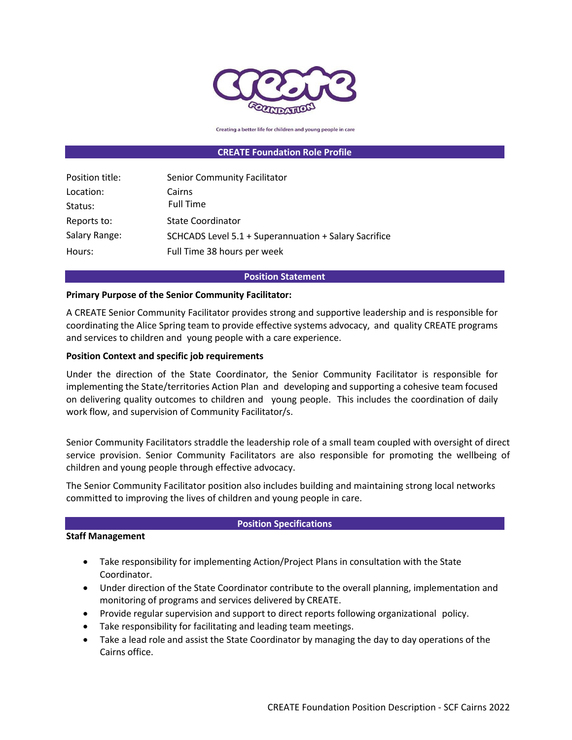

Creating a better life for children and young people in care

#### **CREATE Foundation Role Profile**

| Position title: | Senior Community Facilitator                          |
|-----------------|-------------------------------------------------------|
| Location:       | Cairns                                                |
| Status:         | <b>Full Time</b>                                      |
| Reports to:     | <b>State Coordinator</b>                              |
| Salary Range:   | SCHCADS Level 5.1 + Superannuation + Salary Sacrifice |
| Hours:          | Full Time 38 hours per week                           |

#### **Position Statement**

#### **Primary Purpose of the Senior Community Facilitator:**

A CREATE Senior Community Facilitator provides strong and supportive leadership and is responsible for coordinating the Alice Spring team to provide effective systems advocacy, and quality CREATE programs and services to children and young people with a care experience.

#### **Position Context and specific job requirements**

Under the direction of the State Coordinator, the Senior Community Facilitator is responsible for implementing the State/territories Action Plan and developing and supporting a cohesive team focused on delivering quality outcomes to children and young people. This includes the coordination of daily work flow, and supervision of Community Facilitator/s.

Senior Community Facilitators straddle the leadership role of a small team coupled with oversight of direct service provision. Senior Community Facilitators are also responsible for promoting the wellbeing of children and young people through effective advocacy.

The Senior Community Facilitator position also includes building and maintaining strong local networks committed to improving the lives of children and young people in care.

#### **Position Specifications**

## **Staff Management**

- Take responsibility for implementing Action/Project Plans in consultation with the State Coordinator.
- Under direction of the State Coordinator contribute to the overall planning, implementation and monitoring of programs and services delivered by CREATE.
- Provide regular supervision and support to direct reports following organizational policy.
- Take responsibility for facilitating and leading team meetings.
- Take a lead role and assist the State Coordinator by managing the day to day operations of the Cairns office.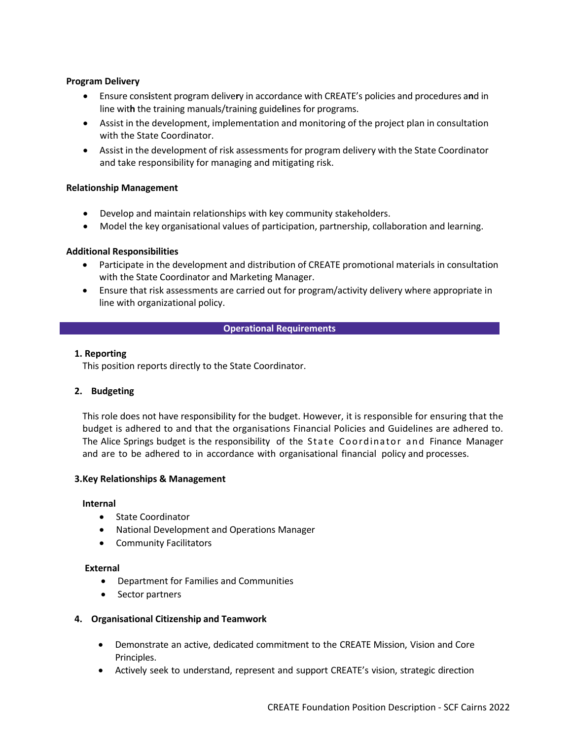# **Program Delivery**

- Ensure cons**i**stent program delive**r**y in accordance with CREATE's policies and procedures a**n**d in line wit**h** the training manuals/training guide**l**ines for programs.
- Assist in the development, implementation and monitoring of the project plan in consultation with the State Coordinator.
- Assist in the development of risk assessments for program delivery with the State Coordinator and take responsibility for managing and mitigating risk.

## **Relationship Management**

- Develop and maintain relationships with key community stakeholders.
- Model the key organisational values of participation, partnership, collaboration and learning.

# **Additional Responsibilities**

- Participate in the development and distribution of CREATE promotional materials in consultation with the State Coordinator and Marketing Manager.
- Ensure that risk assessments are carried out for program/activity delivery where appropriate in line with organizational policy.

## **Operational Requirements**

## **1. Reporting**

This position reports directly to the State Coordinator.

# **2. Budgeting**

This role does not have responsibility for the budget. However, it is responsible for ensuring that the budget is adhered to and that the organisations Financial Policies and Guidelines are adhered to. The Alice Springs budget is the responsibility of the State Coordinator and Finance Manager and are to be adhered to in accordance with organisational financial policy and processes.

## **3.Key Relationships & Management**

## **Internal**

- State Coordinator
- National Development and Operations Manager
- Community Facilitators

## **External**

- Department for Families and Communities
- Sector partners

# **4. Organisational Citizenship and Teamwork**

- Demonstrate an active, dedicated commitment to the CREATE Mission, Vision and Core Principles.
- Actively seek to understand, represent and support CREATE's vision, strategic direction